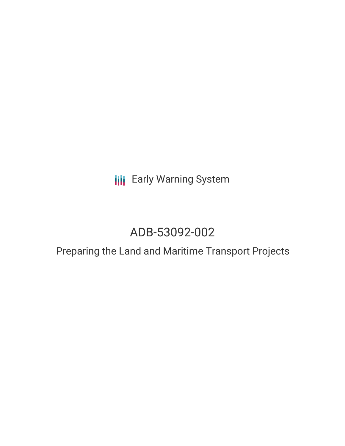**III** Early Warning System

## ADB-53092-002

# Preparing the Land and Maritime Transport Projects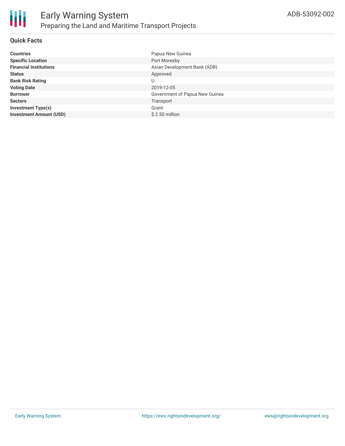

#### **Quick Facts**

| <b>Countries</b>               | Papua New Guinea               |
|--------------------------------|--------------------------------|
| <b>Specific Location</b>       | Port Moresby                   |
| <b>Financial Institutions</b>  | Asian Development Bank (ADB)   |
| <b>Status</b>                  | Approved                       |
| <b>Bank Risk Rating</b>        | U                              |
| <b>Voting Date</b>             | 2019-12-05                     |
| <b>Borrower</b>                | Government of Papua New Guinea |
| <b>Sectors</b>                 | Transport                      |
| <b>Investment Type(s)</b>      | Grant                          |
| <b>Investment Amount (USD)</b> | $$2.50$ million                |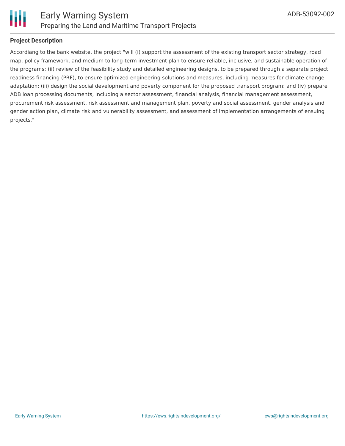

#### **Project Description**

Accordiang to the bank website, the project "will (i) support the assessment of the existing transport sector strategy, road map, policy framework, and medium to long-term investment plan to ensure reliable, inclusive, and sustainable operation of the programs; (ii) review of the feasibility study and detailed engineering designs, to be prepared through a separate project readiness financing (PRF), to ensure optimized engineering solutions and measures, including measures for climate change adaptation; (iii) design the social development and poverty component for the proposed transport program; and (iv) prepare ADB loan processing documents, including a sector assessment, financial analysis, financial management assessment, procurement risk assessment, risk assessment and management plan, poverty and social assessment, gender analysis and gender action plan, climate risk and vulnerability assessment, and assessment of implementation arrangements of ensuing projects."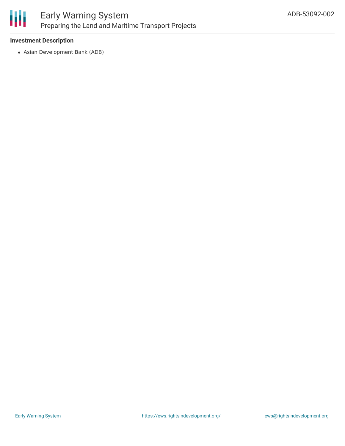

### Early Warning System Preparing the Land and Maritime Transport Projects

#### **Investment Description**

Asian Development Bank (ADB)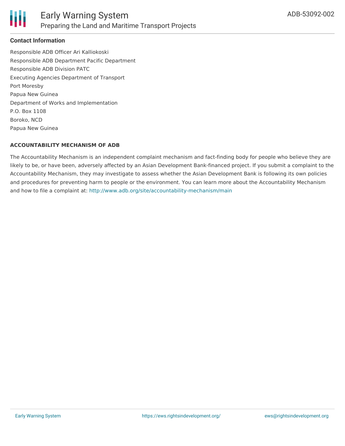

### **Contact Information**

Responsible ADB Officer Ari Kalliokoski Responsible ADB Department Pacific Department Responsible ADB Division PATC Executing Agencies Department of Transport Port Moresby Papua New Guinea Department of Works and Implementation P.O. Box 1108 Boroko, NCD Papua New Guinea

#### **ACCOUNTABILITY MECHANISM OF ADB**

The Accountability Mechanism is an independent complaint mechanism and fact-finding body for people who believe they are likely to be, or have been, adversely affected by an Asian Development Bank-financed project. If you submit a complaint to the Accountability Mechanism, they may investigate to assess whether the Asian Development Bank is following its own policies and procedures for preventing harm to people or the environment. You can learn more about the Accountability Mechanism and how to file a complaint at: <http://www.adb.org/site/accountability-mechanism/main>